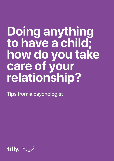# **Doing anything to have a child; how do you take care of your relationship?**

Tips from a psychologist

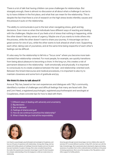There is a lot of talk that having children can pose challenges for relationships. But strangely enough, there is almost no discussion at all about what a challenge it can be to try to have children in the first place, and what that can mean for the relationship. This is despite the fact that there is a lot of research on the high stress levels infertility causes and the pressure it puts on the relationship.

The ability to communicate is put to the test when navigating stress, grief and big decisions. Even more so when the individuals have different ways of reacting and dealing with the challenges. Maybe one of you feels a lot of stress that nothing is happening, while the other doesn't feel any sense of urgency. Maybe one of you wants to invite others into the process, while the other doesn't want to share your journey. A miscarriage can be a great sorrow for one of you, while the other wants to look ahead at what's next. Supporting each other, taking care of yourselves, and at the same time being respectful of each other's feelings can be difficult.

It's also easy for the relationship to fall into a "focus zone" where you become more taskoriented than relationship-oriented. For most people, for example, sex quickly transitions from being about pleasure to becoming a chore. In the long run, this creates a risk of permanent distance in the relationship - both emotionally and physically. It is important to consciously try to create a balance between the task- and relationship-oriented work. Between the timed intercourse and medical procedures, it is important to also try to maintain closeness and some form of gratitude and joy.

#### **We think it's time to talk about it!**

Anna at Tilly has, based on her own experiences and dialogues with Tilly's community, identified a number of challenges and difficult feelings that many are faced with. She and Linn Heed, a registered psychologist, registered psychotherapist and sexologist at Coupleness, share concrete tips for how to deal with them.

- 1. Different ways of dealing with adversity and uncertainty
- 2. Big decisions
- 3. Sex on demand
- 4. Feelings of shame and guilt
- 5. How do we continue to prioritize the relationship?
- 6. When it feels like you hold all the responsibility



**Linn Heed is a psychologist, psychotherapist and sexologist at Coupleness, and has over 30 years of experience with relationships. Among other things, she has worked with fertility patients at Huddinge University Hospital, and over the years has seen hundreds of couples in therapy. She is also consulted frequently by the media. She experienced a traumatic miscarriage in week 20 which has given her a deeper understanding of how the longing for a child can create stress in a relationship.**



**Anna has gone through several miscarriages, lost two children after week 20 and done IVF in several different countries. In May 2021, she had a son with the help of donated eggs. She is passionate about reducing the stigma and raising awareness of a problem that is often underestimated, and believes in the power of sharing experiences. She is one of the founders of the Tilly platform, which offers support for fertility patients.**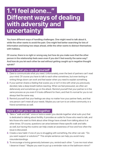### **1."I feel alone…" Different ways of dealing with adversity and uncertainty**

**You have different ways of handling challenges. One might need to talk about it, while the other wants to avoid the pain. One might feel better searching for lots of information and being two steps ahead, while the other wants to distract themselves with hobbies.**

**Of course, there is no right or wrong way, but how do you make sure that the other person in the relationship feels seen even if you don't feel exactly the same way? And how do you let each other be sad without getting caught up in negative thought spirals?**

#### **Here's what you can do yourself**

- **1.** Dare to communicate what you need. Unfortunately, even the best of partners can't read your mind. Of course you have to talk to each other sometimes, but even texting or writing things down can work and feel easier when you need to explain something.
- **2.** If your partner shares a feeling that scares you or isn't in line with what you previously decided, take a deep breath before reacting. When we feel pressured, we often act defensively and sometimes go on the attack. Remind yourself that your partner is in the same process as you even if it looks different for them, and that it's normal for you to not always feel the same way.
- **3.** Remind yourself that your feelings are okay no matter how your partner feels, and that one person can't meet all your needs. Maybe you can turn to an online community or a friend sometimes as well.

#### **Here's what you can do together**

- **1.** Take a "walk and talk" once or twice a week (you decide together what suits you) that is dedicated to talking about fertility. It provides an outlet for those who need to talk, and lets those who want to think about other things have a break from talking about it at other times. Of course, questions can arise between these specific walk and talks as well, but having this routine can help create an awareness of how and how often the issue is discussed.
- **2.** Create a new habit: if one of you is struggling with something, the other can ask: "Do you want support or solutions?" This simple sentence can help you avoid many misunderstandings.
- **3.** To encourage a loving generosity between you, remind each other: "Love me most when I deserve it least." Maybe you want to put up a reminder note on the bathroom mirror?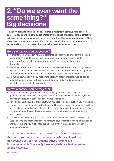### **2. "Do we even want the same thing?" Big decisions**

**Having children is no small decision. Neither is whether to start IVF, use donated gametes, adopt, or decide to pause or stop trying. These are decisions that affect life in lots of big ways, and you must make them together. That can create pressure-filled situations. Here are some suggestions for how to make the decision-making process easier, and for you both to feel that you've had a voice in the decision.**

#### **Here's what you can do yourself**

- **1.** In order for communication with your partner to be effective, it's important to also sort out your own thoughts and feelings. Journaling - writing down your thoughts - is a proven tool that can help you gain new perspectives, and is mentioned several times in this guide.
- **2.** Big decisions feel safer if you feel you can make informed choices. Start by figuring out what you need to find out in order to make a decision, and then make sure you get that information. Remember that you and your partner might have different needs.
- **3.** No matter how you spin it, you will have to deal with a lot of uncertainty, and it can be good to find tools to deal with your racing thoughts. Find a short meditation or mindfulness exercise that you can return to.

#### **Here's what you can do together**

- **1.** Create a new habit: If you want to talk about a (big) decision, always start with: "Is this a good time to talk about this? I really need to talk, but I want you to be receptive, so we can wait and discuss it later if now isn't a good time for you."
- **2.** Have an open dialogue, not only about what you need to decide, but how you will decide it. Maybe you need different lengths of time or different amounts of information, and this needs to be respected when a joint decision needs to be made. If you understand why your partner feels the way they do, it's easier to accept it and to avoid unnecessary assumptions.
- **3.** Make sure that everything you do and talk about doesn't revolve around the decision. Set aside time and space to relax or do something fun together. It can be difficult to find energy for this and you might need to book "us-time" in the calendar, but it can feel good once you do it.

**"It can be both good and bad to be in "bad." Good in the sense that one of you can be there for the other who is feeling down. Bad because you can feel that the other's feelings are incomprehensible. You simply have to try to let each other feel as good as possible."**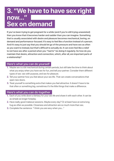## **3. "We have to have sex right now…" Sex on demand**

**If you've been trying to get pregnant for a while (and if you're still trying unassisted) then you know that it becomes harder and sadder than you can imagine. Something that is usually associated with desire and pleasure becomes mechanical, boring, on demand and performance-focused. It's easy to feel like a function instead of a person. And it's easy to just say that you should let go of the pressure and have sex as often as you want to instead, but that's difficult to actually do. It can even feel like a relief to not have sex after a period when you "had to" be doing it regularly. So how do you maintain that desire, attraction and connection, which, after all, are important parts of a relationship?**

#### **Here's what you can do yourself**

- **1.** Maybe sex is a bit mechanical during certain periods, but still take the time to think about what you enjoy when you have sex for fun, and tell your partner. Consider them different types of sex: sex with purpose, and sex for pleasure.
- **2.** Tell your partner how you feel about your sex life. That can create conversations that open new doors.
- **3.** Treat yourself to something extra that makes you feel attractive. It doesn't have to be that often or something big; sometimes it's the little things that make a difference.

#### **Here's what you can do together**

- **1.** Each of you write down a fantasy for your sex life and share it with each other. It can be as simple as longer foreplay.
- **2.** Have really good makeout sessions. Maybe every day? Or at least have an extra long hug as often as possible. Closeness and attraction are so much more than sex.
- **3.** Complete the sentence: "I think you are sexy when you…"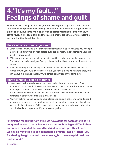# **4."It's my fault…" Feelings of shame and guilt**

**Most of us take having children for granted, thinking that they'll come when it suits us. So when your period keeps coming every month, or when what is supposed to be simple and obvious turns into a long series of doctor visits and failures, it's easy to blame yourself. The silent guilt and the invisible shame are devastating both for the individual and for the relationship.**

#### **Here's what you can do yourself**

- **1.** Give yourself some extra love maybe use affirmations, supportive words you can repe at to yourself. It may feel artificial at first, but it can be helpful in strengthening your relationship with yourself.
- **2.** Write down your feelings to gain perspective and learn what triggers the negative ones. The better you understand your feelings, the easier it will be to talk about them with your partner.
- **3.** Share your thoughts and feelings with people outside your relationship to break the silence around your guilt. If you don't feel that you have a friend who understands, you can always turn to an online forum with others going through the same thing.

#### **Here's what you can do together**

- **1.** Listen to each other's feelings and try to respond to them with more than "That's not true, it's not your fault." Instead, try "I understand that it can feel that way, and here's another perspective." This can help the other person to feel more seen.
- **2.** Affirm each other with words and actions as often as possible. It might require setting reminders to give your partner a little pick-me-up.
- **3.** Again, try talking to people outside your relationship to get a better understanding and gain new perspectives. If your partner keeps all their emotions, encourage them to see a psychologist or therapist. Talking to a neutral person can be very helpful for both the individual and the couple, even if you don't go together.

**"I think the most important thing we have done for each other is to never question each other's feelings - no matter how big or difficult they are. When the rest of the world has tried to come up with solutions, we have always tried to say something along the lines of: 'Thank you for sharing. I might not feel the same way, but please explain so I can understand.'"**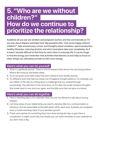### **5. "Who are we without children?" How do we continue to prioritize the relationship?**

**Suddenly all you see are strollers and pregnant women, and the commercials on TV are only about diapers and baby food. Big questions like "Can we be happy without children?" hide around every corner, and thoughts about ovulation, sperm production, healthy lifestyles, reducing alcohol, and strict meal plans take over completely. As if it wasn't already difficult to find time for each other in everyday life. It can be tough to find the energy, but remember that activities that distract us and help us focus on other things can ultimately provide us with more energy.**

#### **Here's what you can do yourself**

- **1.** Write in a gratitude journal. There is a lot of research that shows this can bring positive effects like more joy and better sleep.
- **2.** Try to set goals (even little ones) that aren't linked to your fertility journey.
- **3.** Try different tools that help you break out of negative thought patterns. For example, you can reflect on the day by writing down a challenge that you worked through successfully. Pay attention to the micro level, as it's often the small, insidious thoughts that sneak back in over and over again, and the little wins that can give us a boost.

#### **Here's what you can do together**

- **1.** Have a standing date in the calendar when you are not allowed to talk about having children.
- **2.** List three areas of your relationship you want to develop (like fun, communication or intimacy), and set reasonable achievable goals within each area. Evaluate your progress once a month and keep track of your fantastic growth.
- **3.** Thank your partner for something they have done during the day, or give them a compliment. It might sound silly, but maybe you can add a reminder to your calendar so you don't miss a day.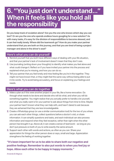### **6. "You just don't understand…" When it feels like you hold all the responsibility**

**Do you keep track of ovulation alone? Are you the one who knows which day you can test? Or are you the one who spends endless hours googling for a new solution? As with many tasks, it's easy for the division of responsibilities to become skewed, and it can feel really lonely. Where did the teamwork go? How do you make your partner understand that you are both on this journey, and that you are tired of being a project manager and alone in the driver's seat?**

#### **Here's what you can do yourself**

- **1.** Remind yourself that you both have different ways of dealing with your life situation, and that your partner's lack of involvement doesn't mean that they don't care.
- **2.** Use journaling (writing down your thoughts) to identify what makes you feel alone and what could change it. Reflect on if you have invited your partner into the process and explained what you're missing, and how you can do so.
- **3.** Tell your partner that you feel lonely and miss feeling like you're in this together. They might not have known that, or they might feel the same way without being able to put it into words. Try to avoid being accusatory, and focus on explaining your feelings and needs.

#### **Here's what you can do together**

- **1.** Make a plan as if this were another project in your life, like a home renovation. Go through what needs to be done and decide who will do what, and when you will do something together. You might realize that you actually prefer to handle a lot yourself, and what you really want is for your partner to ask about things from time to time. Maybe your partner hasn't known what they can help with, and hasn't dared to ask because they are ashamed that they are less knowledgeable.
- **2.** Create a WhatsApp group (or use a similar communication tool) for the two of you where you can ask each other things, collect questions before a doctor's visit, or share information. It can simplify questions and tasks, and each individual can also process information and respond when they feel receptive, rather than right when the other person has brought it up. Above all, it can create a sense of teamwork - as long as you don't put pressure on both of you to write exactly the same amount.
- **3.** Support each other with words and actions, as often as you can. Share your appreciation for things the other person does or says, small and large. Appreciation strengthens the feeling of working together.

#### **"It's been important for us to be able to share both our negative and positive feelings. Remember to also put words to when you feel joy or hope. Allow each other to be happy in happy moments."**

Amanda & Magnus